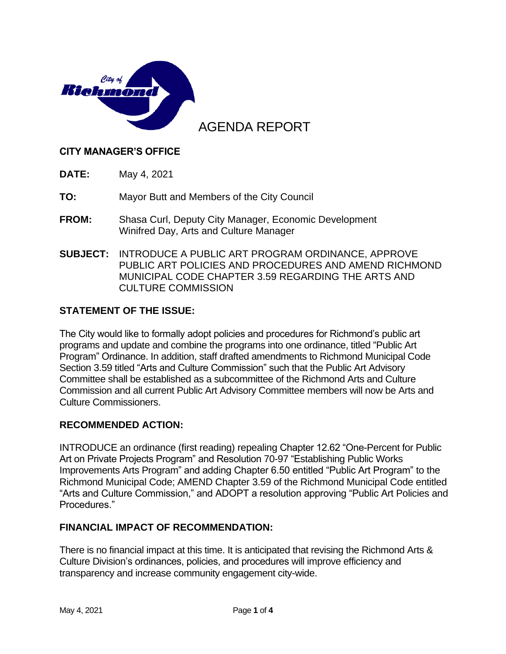

# AGENDA REPORT

#### **CITY MANAGER'S OFFICE**

**DATE:** May 4, 2021

**TO:** Mayor Butt and Members of the City Council

- **FROM:** Shasa Curl, Deputy City Manager, Economic Development Winifred Day, Arts and Culture Manager
- **SUBJECT:** INTRODUCE A PUBLIC ART PROGRAM ORDINANCE, APPROVE PUBLIC ART POLICIES AND PROCEDURES AND AMEND RICHMOND MUNICIPAL CODE CHAPTER 3.59 REGARDING THE ARTS AND CULTURE COMMISSION

#### **STATEMENT OF THE ISSUE:**

The City would like to formally adopt policies and procedures for Richmond's public art programs and update and combine the programs into one ordinance, titled "Public Art Program" Ordinance. In addition, staff drafted amendments to Richmond Municipal Code Section 3.59 titled "Arts and Culture Commission" such that the Public Art Advisory Committee shall be established as a subcommittee of the Richmond Arts and Culture Commission and all current Public Art Advisory Committee members will now be Arts and Culture Commissioners.

#### **RECOMMENDED ACTION:**

INTRODUCE an ordinance (first reading) repealing Chapter 12.62 "One-Percent for Public Art on Private Projects Program" and Resolution 70-97 "Establishing Public Works Improvements Arts Program" and adding Chapter 6.50 entitled "Public Art Program" to the Richmond Municipal Code; AMEND Chapter 3.59 of the Richmond Municipal Code entitled "Arts and Culture Commission," and ADOPT a resolution approving "Public Art Policies and Procedures."

#### **FINANCIAL IMPACT OF RECOMMENDATION:**

There is no financial impact at this time. It is anticipated that revising the Richmond Arts & Culture Division's ordinances, policies, and procedures will improve efficiency and transparency and increase community engagement city-wide.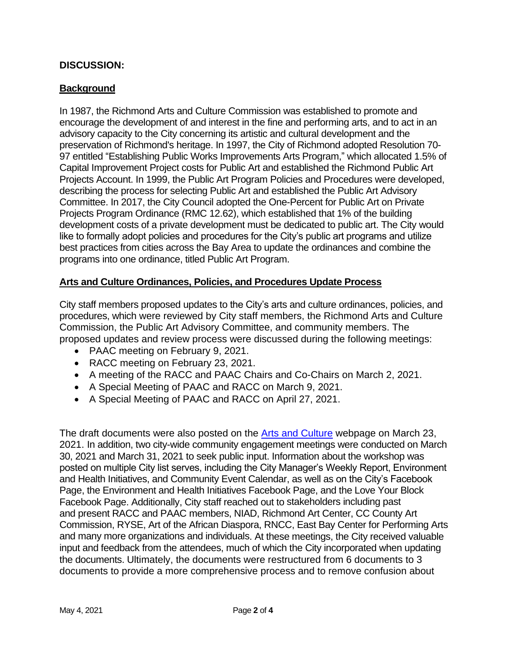### **DISCUSSION:**

### **Background**

In 1987, the Richmond Arts and Culture Commission was established to promote and encourage the development of and interest in the fine and performing arts, and to act in an advisory capacity to the City concerning its artistic and cultural development and the preservation of Richmond's heritage. In 1997, the City of Richmond adopted Resolution 70- 97 entitled "Establishing Public Works Improvements Arts Program," which allocated 1.5% of Capital Improvement Project costs for Public Art and established the Richmond Public Art Projects Account. In 1999, the Public Art Program Policies and Procedures were developed, describing the process for selecting Public Art and established the Public Art Advisory Committee. In 2017, the City Council adopted the One-Percent for Public Art on Private Projects Program Ordinance (RMC 12.62), which established that 1% of the building development costs of a private development must be dedicated to public art. The City would like to formally adopt policies and procedures for the City's public art programs and utilize best practices from cities across the Bay Area to update the ordinances and combine the programs into one ordinance, titled Public Art Program.

### **Arts and Culture Ordinances, Policies, and Procedures Update Process**

City staff members proposed updates to the City's arts and culture ordinances, policies, and procedures, which were reviewed by City staff members, the Richmond Arts and Culture Commission, the Public Art Advisory Committee, and community members. The proposed updates and review process were discussed during the following meetings:

- PAAC meeting on February 9, 2021.
- RACC meeting on February 23, 2021.
- A meeting of the RACC and PAAC Chairs and Co-Chairs on March 2, 2021.
- A Special Meeting of PAAC and RACC on March 9, 2021.
- A Special Meeting of PAAC and RACC on April 27, 2021.

The draft documents were also posted on the [Arts and Culture](https://www.ci.richmond.ca.us/2064/Arts-Culture) webpage on March 23, 2021. In addition, two city-wide community engagement meetings were conducted on March 30, 2021 and March 31, 2021 to seek public input. Information about the workshop was posted on multiple City list serves, including the City Manager's Weekly Report, Environment and Health Initiatives, and Community Event Calendar, as well as on the City's Facebook Page, the Environment and Health Initiatives Facebook Page, and the Love Your Block Facebook Page. Additionally, City staff reached out to stakeholders including past and present RACC and PAAC members, NIAD, Richmond Art Center, CC County Art Commission, RYSE, Art of the African Diaspora, RNCC, East Bay Center for Performing Arts and many more organizations and individuals. At these meetings, the City received valuable input and feedback from the attendees, much of which the City incorporated when updating the documents. Ultimately, the documents were restructured from 6 documents to 3 documents to provide a more comprehensive process and to remove confusion about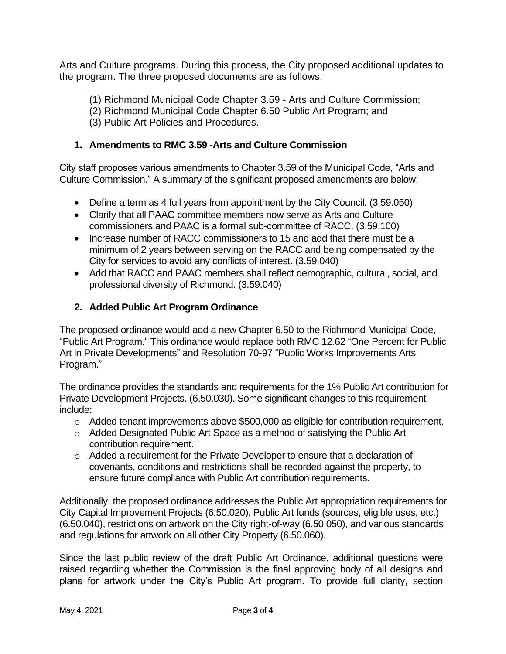Arts and Culture programs. During this process, the City proposed additional updates to the program. The three proposed documents are as follows:

- (1) Richmond Municipal Code Chapter 3.59 Arts and Culture Commission;
- (2) Richmond Municipal Code Chapter 6.50 Public Art Program; and
- (3) Public Art Policies and Procedures.

### **1. Amendments to RMC 3.59 -Arts and Culture Commission**

City staff proposes various amendments to Chapter 3.59 of the Municipal Code, "Arts and Culture Commission." A summary of the significant proposed amendments are below:

- Define a term as 4 full years from appointment by the City Council. (3.59.050)
- Clarify that all PAAC committee members now serve as Arts and Culture commissioners and PAAC is a formal sub-committee of RACC. (3.59.100)
- Increase number of RACC commissioners to 15 and add that there must be a minimum of 2 years between serving on the RACC and being compensated by the City for services to avoid any conflicts of interest. (3.59.040)
- Add that RACC and PAAC members shall reflect demographic, cultural, social, and professional diversity of Richmond. (3.59.040)

### **2. Added Public Art Program Ordinance**

The proposed ordinance would add a new Chapter 6.50 to the Richmond Municipal Code, "Public Art Program." This ordinance would replace both RMC 12.62 "One Percent for Public Art in Private Developments" and Resolution 70-97 "Public Works Improvements Arts Program."

The ordinance provides the standards and requirements for the 1% Public Art contribution for Private Development Projects. (6.50.030). Some significant changes to this requirement include:

- o Added tenant improvements above \$500,000 as eligible for contribution requirement.
- o Added Designated Public Art Space as a method of satisfying the Public Art contribution requirement.
- o Added a requirement for the Private Developer to ensure that a declaration of covenants, conditions and restrictions shall be recorded against the property, to ensure future compliance with Public Art contribution requirements.

Additionally, the proposed ordinance addresses the Public Art appropriation requirements for City Capital Improvement Projects (6.50.020), Public Art funds (sources, eligible uses, etc.) (6.50.040), restrictions on artwork on the City right-of-way (6.50.050), and various standards and regulations for artwork on all other City Property (6.50.060).

Since the last public review of the draft Public Art Ordinance, additional questions were raised regarding whether the Commission is the final approving body of all designs and plans for artwork under the City's Public Art program. To provide full clarity, section